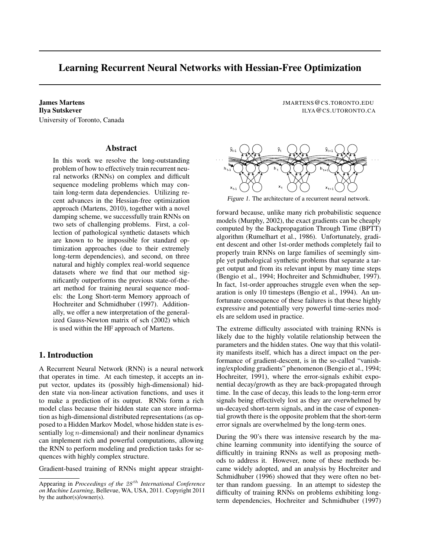## Learning Recurrent Neural Networks with Hessian-Free Optimization

University of Toronto, Canada

## Abstract

In this work we resolve the long-outstanding problem of how to effectively train recurrent neural networks (RNNs) on complex and difficult sequence modeling problems which may contain long-term data dependencies. Utilizing recent advances in the Hessian-free optimization approach (Martens, 2010), together with a novel damping scheme, we successfully train RNNs on two sets of challenging problems. First, a collection of pathological synthetic datasets which are known to be impossible for standard optimization approaches (due to their extremely long-term dependencies), and second, on three natural and highly complex real-world sequence datasets where we find that our method significantly outperforms the previous state-of-theart method for training neural sequence models: the Long Short-term Memory approach of Hochreiter and Schmidhuber (1997). Additionally, we offer a new interpretation of the generalized Gauss-Newton matrix of sch (2002) which is used within the HF approach of Martens.

## 1. Introduction

A Recurrent Neural Network (RNN) is a neural network that operates in time. At each timestep, it accepts an input vector, updates its (possibly high-dimensional) hidden state via non-linear activation functions, and uses it to make a prediction of its output. RNNs form a rich model class because their hidden state can store information as high-dimensional distributed representations (as opposed to a Hidden Markov Model, whose hidden state is essentially  $log n$ -dimensional) and their nonlinear dynamics can implement rich and powerful computations, allowing the RNN to perform modeling and prediction tasks for sequences with highly complex structure.

Gradient-based training of RNNs might appear straight-

James Martens JMARTENS@CS.TORONTO.EDU **Ilya Sutskever ILYA@CS.UTORONTO.CA** 



Figure 1. The architecture of a recurrent neural network.

forward because, unlike many rich probabilistic sequence models (Murphy, 2002), the exact gradients can be cheaply computed by the Backpropagation Through Time (BPTT) algorithm (Rumelhart et al., 1986). Unfortunately, gradient descent and other 1st-order methods completely fail to properly train RNNs on large families of seemingly simple yet pathological synthetic problems that separate a target output and from its relevant input by many time steps (Bengio et al., 1994; Hochreiter and Schmidhuber, 1997). In fact, 1st-order approaches struggle even when the separation is only 10 timesteps (Bengio et al., 1994). An unfortunate consequence of these failures is that these highly expressive and potentially very powerful time-series models are seldom used in practice.

The extreme difficulty associated with training RNNs is likely due to the highly volatile relationship between the parameters and the hidden states. One way that this volatility manifests itself, which has a direct impact on the performance of gradient-descent, is in the so-called "vanishing/exploding gradients" phenomenon (Bengio et al., 1994; Hochreiter, 1991), where the error-signals exhibit exponential decay/growth as they are back-propagated through time. In the case of decay, this leads to the long-term error signals being effectively lost as they are overwhelmed by un-decayed short-term signals, and in the case of exponential growth there is the opposite problem that the short-term error signals are overwhelmed by the long-term ones.

During the 90's there was intensive research by the machine learning community into identifying the source of difficultly in training RNNs as well as proposing methods to address it. However, none of these methods became widely adopted, and an analysis by Hochreiter and Schmidhuber (1996) showed that they were often no better than random guessing. In an attempt to sidestep the difficulty of training RNNs on problems exhibiting longterm dependencies, Hochreiter and Schmidhuber (1997)

Appearing in *Proceedings of the* 28 th *International Conference on Machine Learning*, Bellevue, WA, USA, 2011. Copyright 2011 by the author(s)/owner(s).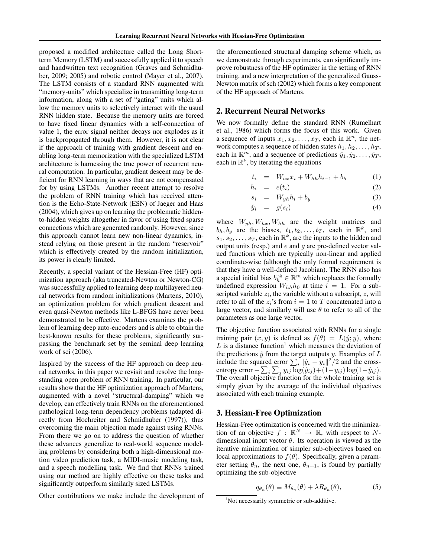proposed a modified architecture called the Long Shortterm Memory (LSTM) and successfully applied it to speech and handwritten text recognition (Graves and Schmidhuber, 2009; 2005) and robotic control (Mayer et al., 2007). The LSTM consists of a standard RNN augmented with "memory-units" which specialize in transmitting long-term information, along with a set of "gating" units which allow the memory units to selectively interact with the usual RNN hidden state. Because the memory units are forced to have fixed linear dynamics with a self-connection of value 1, the error signal neither decays nor explodes as it is backpropagated through them. However, it is not clear if the approach of training with gradient descent and enabling long-term memorization with the specialized LSTM architecture is harnessing the true power of recurrent neural computation. In particular, gradient descent may be deficient for RNN learning in ways that are not compensated for by using LSTMs. Another recent attempt to resolve the problem of RNN training which has received attention is the Echo-State-Network (ESN) of Jaeger and Haas (2004), which gives up on learning the problematic hiddento-hidden weights altogether in favor of using fixed sparse connections which are generated randomly. However, since this approach cannot learn new non-linear dynamics, instead relying on those present in the random "reservoir" which is effectively created by the random initialization, its power is clearly limited.

Recently, a special variant of the Hessian-Free (HF) optimization approach (aka truncated-Newton or Newton-CG) was successfully applied to learning deep multilayered neural networks from random initializations (Martens, 2010), an optimization problem for which gradient descent and even quasi-Newton methods like L-BFGS have never been demonstrated to be effective. Martens examines the problem of learning deep auto-encoders and is able to obtain the best-known results for these problems, significantly surpassing the benchmark set by the seminal deep learning work of sci (2006).

Inspired by the success of the HF approach on deep neural networks, in this paper we revisit and resolve the longstanding open problem of RNN training. In particular, our results show that the HF optimization approach of Martens, augmented with a novel "structural-damping" which we develop, can effectively train RNNs on the aforementioned pathological long-term dependency problems (adapted directly from Hochreiter and Schmidhuber (1997)), thus overcoming the main objection made against using RNNs. From there we go on to address the question of whether these advances generalize to real-world sequence modeling problems by considering both a high-dimensional motion video prediction task, a MIDI-music modeling task, and a speech modelling task. We find that RNNs trained using our method are highly effective on these tasks and significantly outperform similarly sized LSTMs.

Other contributions we make include the development of

the aforementioned structural damping scheme which, as we demonstrate through experiments, can significantly improve robustness of the HF optimizer in the setting of RNN training, and a new interpretation of the generalized Gauss-Newton matrix of sch (2002) which forms a key component of the HF approach of Martens.

## 2. Recurrent Neural Networks

We now formally define the standard RNN (Rumelhart et al., 1986) which forms the focus of this work. Given a sequence of inputs  $x_1, x_2, \ldots, x_T$ , each in  $\mathbb{R}^n$ , the network computes a sequence of hidden states  $h_1, h_2, \ldots, h_T$ , each in  $\mathbb{R}^m$ , and a sequence of predictions  $\hat{y}_1, \hat{y}_2, \dots, \hat{y}_T$ , each in  $\mathbb{R}^k$ , by iterating the equations

$$
t_i = W_{hx}x_i + W_{hh}h_{i-1} + b_h \tag{1}
$$

$$
h_i = e(t_i) \tag{2}
$$

$$
s_i = W_{yh}h_i + b_y \tag{3}
$$

$$
\hat{y}_i = g(s_i) \tag{4}
$$

where  $W_{yh}$ ,  $W_{hx}$ ,  $W_{hh}$  are the weight matrices and  $b_h, b_y$  are the biases,  $t_1, t_2, \ldots, t_T$ , each in  $\mathbb{R}^k$ , and  $s_1, s_2, \ldots, s_T$ , each in  $\mathbb{R}^k$ , are the inputs to the hidden and output units (resp.) and  $e$  and  $q$  are pre-defined vector valued functions which are typically non-linear and applied coordinate-wise (although the only formal requirement is that they have a well-defined Jacobian). The RNN also has a special initial bias  $b_h^{\text{init}} \in \mathbb{R}^m$  which replaces the formally undefined expression  $W_{hh}h_0$  at time  $i = 1$ . For a subscripted variable  $z_i$ , the variable without a subscript,  $z$ , will refer to all of the  $z_i$ 's from  $i = 1$  to T concatenated into a large vector, and similarly will use  $\theta$  to refer to all of the parameters as one large vector.

The objective function associated with RNNs for a single training pair  $(x, y)$  is defined as  $f(\theta) = L(\hat{y}; y)$ , where  $L$  is a distance function<sup>1</sup> which measures the deviation of the predictions  $\hat{y}$  from the target outputs y. Examples of  $L$ include the squared error  $\sum_i ||\hat{y}_i - y_i||^2 / 2$  and the crossentropy error —  $\sum_i \sum_j y_{ij} \log(\hat{y}_{ij}) + (1-y_{ij}) \log(1-\hat{y}_{ij}).$ The overall objective function for the whole training set is simply given by the average of the individual objectives associated with each training example.

## 3. Hessian-Free Optimization

Hessian-Free optimization is concerned with the minimization of an objective  $f : \mathbb{R}^N \to \mathbb{R}$ , with respect to Ndimensional input vector  $\theta$ . Its operation is viewed as the iterative minimization of simpler sub-objectives based on local approximations to  $f(\theta)$ . Specifically, given a parameter setting  $\theta_n$ , the next one,  $\theta_{n+1}$ , is found by partially optimizing the sub-objective

$$
q_{\theta_n}(\theta) \equiv M_{\theta_n}(\theta) + \lambda R_{\theta_n}(\theta), \tag{5}
$$

<sup>&</sup>lt;sup>1</sup>Not necessarily symmetric or sub-additive.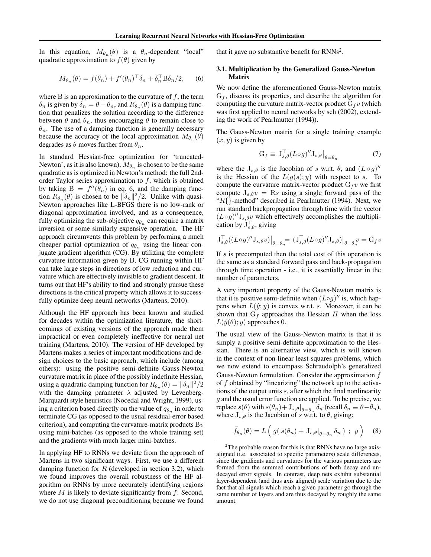In this equation,  $M_{\theta_n}(\theta)$  is a  $\theta_n$ -dependent "local" quadratic approximation to  $f(\theta)$  given by

$$
M_{\theta_n}(\theta) = f(\theta_n) + f'(\theta_n)^\top \delta_n + \delta_n^\top \mathbf{B} \delta_n/2, \qquad (6)
$$

where B is an approximation to the curvature of  $f$ , the term  $\delta_n$  is given by  $\delta_n = \theta - \theta_n$ , and  $R_{\theta_n}(\theta)$  is a damping function that penalizes the solution according to the difference between  $\theta$  and  $\theta_n$ , thus encouraging  $\theta$  to remain close to  $\theta_n$ . The use of a damping function is generally necessary because the accuracy of the local approximation  $M_{\theta_n}(\theta)$ degrades as  $\theta$  moves further from  $\theta_n$ .

In standard Hessian-free optimization (or 'truncated-Newton', as it is also known),  $M_{\theta_n}$  is chosen to be the same quadratic as is optimized in Newton's method: the full 2ndorder Taylor series approximation to  $f$ , which is obtained by taking  $B = f''(\bar{\theta}_n)$  in eq. 6, and the damping function  $R_{\theta_n}(\theta)$  is chosen to be  $\|\delta_n\|^2/2$ . Unlike with quasi-Newton approaches like L-BFGS there is no low-rank or diagonal approximation involved, and as a consequence, fully optimizing the sub-objective  $q_{\theta_n}$  can require a matrix inversion or some similarly expensive operation. The HF approach circumvents this problem by performing a much cheaper partial optimization of  $q_{\theta_n}$  using the linear conjugate gradient algorithm (CG). By utilizing the complete curvature information given by B, CG running within HF can take large steps in directions of low reduction and curvature which are effectively invisible to gradient descent. It turns out that HF's ability to find and strongly pursue these directions is the critical property which allows it to successfully optimize deep neural networks (Martens, 2010).

Although the HF approach has been known and studied for decades within the optimization literature, the shortcomings of existing versions of the approach made them impractical or even completely ineffective for neural net training (Martens, 2010). The version of HF developed by Martens makes a series of important modifications and design choices to the basic approach, which include (among others): using the positive semi-definite Gauss-Newton curvature matrix in place of the possibly indefinite Hessian, using a quadratic damping function for  $R_{\theta_n}(\theta) = ||\delta_n||^2/2$ with the damping parameter  $\lambda$  adjusted by Levenberg-Marquardt style heuristics (Nocedal and Wright, 1999), using a criterion based directly on the value of  $q_{\theta_n}$  in order to terminate CG (as opposed to the usual residual-error based criterion), and computing the curvature-matrix products  $Bv$ using mini-batches (as opposed to the whole training set) and the gradients with much larger mini-batches.

In applying HF to RNNs we deviate from the approach of Martens in two significant ways. First, we use a different damping function for  $R$  (developed in section 3.2), which we found improves the overall robustness of the HF algorithm on RNNs by more accurately identifying regions where  $M$  is likely to deviate significantly from  $f$ . Second, we do not use diagonal preconditioning because we found

that it gave no substantive benefit for  $RNNs^2$ .

## 3.1. Multiplication by the Generalized Gauss-Newton Matrix

We now define the aforementioned Gauss-Newton matrix  $G_f$ , discuss its properties, and describe the algorithm for computing the curvature matrix-vector product  $G_f v$  (which was first applied to neural networks by sch (2002), extending the work of Pearlmutter (1994)).

The Gauss-Newton matrix for a single training example  $(x, y)$  is given by

$$
G_f \equiv J_{s,\theta}^{\top} (L \circ g)'' J_{s,\theta} \big|_{\theta = \theta_n} \tag{7}
$$

where the  $J_{s,\theta}$  is the Jacobian of s w.r.t.  $\theta$ , and  $(L \circ g)$ " is the Hessian of the  $L(g(s); y)$  with respect to s. To compute the curvature matrix-vector product  $G_f v$  we first compute  $J_{s,\theta}v = Rs$  using a single forward pass of the " $R$ {}-method" described in Pearlmutter (1994). Next, we run standard backpropagation through time with the vector  $(L \circ g)'' J_{s,\theta} v$  which effectively accomplishes the multiplication by  $J_{s,\theta}^{\top}$ , giving

$$
\mathbf{J}_{s,\theta}^{\top}((L\circ g)''\mathbf{J}_{s,\theta}v)\big|_{\theta=\theta_n} = (\mathbf{J}_{s,\theta}^{\top}(L\circ g)''\mathbf{J}_{s,\theta})\big|_{\theta=\theta_n}v = \mathbf{G}_f v
$$

If s is precomputed then the total cost of this operation is the same as a standard forward pass and back-propagation through time operation - i.e., it is essentially linear in the number of parameters.

A very important property of the Gauss-Newton matrix is that it is positive semi-definite when  $(L \circ g)''$  is, which happens when  $L(\hat{y}; y)$  is convex w.r.t. s. Moreover, it can be shown that  $G_f$  approaches the Hessian  $H$  when the loss  $L(\hat{y}(\theta); y)$  approaches 0.

The usual view of the Gauss-Newton matrix is that it is simply a positive semi-definite approximation to the Hessian. There is an alternative view, which is will known in the context of non-linear least-squares problems, which we now extend to encompass Schraudolph's generalized Gauss-Newton formulation. Consider the approximation  $\hat{f}$ of  $f$  obtained by "linearizing" the network up to the activations of the output units s, after which the final nonlinearity  $g$  and the usual error function are applied. To be precise, we replace  $s(\theta)$  with  $s(\theta_n) + J_{s,\theta}|_{\theta=\theta_n} \delta_n$  (recall  $\delta_n \equiv \theta - \theta_n$ ), where  $J_{s,\theta}$  is the Jacobian of s w.r.t. to  $\theta$ , giving:

$$
\tilde{f}_{\theta_n}(\theta) = L\left(g(s(\theta_n) + \mathbf{J}_{s,\theta}|_{\theta = \theta_n} \delta_n) ; y\right) \quad (8)
$$

 $2$ The probable reason for this is that RNNs have no large axisaligned (i.e. associated to specific parameters) scale differences, since the gradients and curvatures for the various parameters are formed from the summed contributions of both decay and undecayed error signals. In contrast, deep nets exhibit substantial layer-dependent (and thus axis aligned) scale variation due to the fact that all signals which reach a given parameter go through the same number of layers and are thus decayed by roughly the same amount.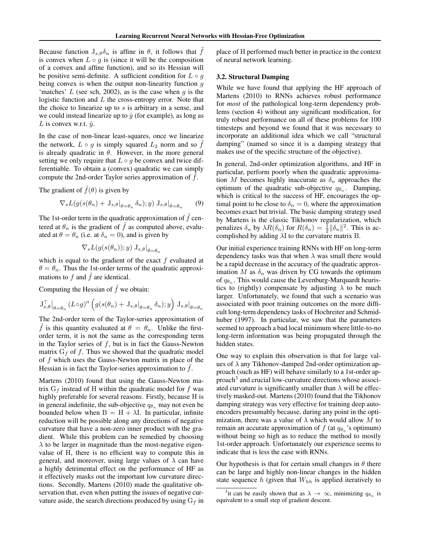Because function  $J_{s,\theta}\delta_n$  is affine in  $\theta$ , it follows that f is convex when  $L \circ g$  is (since it will be the composition of a convex and affine function), and so its Hessian will be positive semi-definite. A sufficient condition for  $L \circ q$ being convex is when the output non-linearity function  $q$ 'matches'  $L$  (see sch, 2002), as is the case when  $q$  is the logistic function and  $L$  the cross-entropy error. Note that the choice to linearize up to  $s$  is arbitrary in a sense, and we could instead linearize up to  $\hat{y}$  (for example), as long as L is convex w.r.t.  $\hat{y}$ .

In the case of non-linear least-squares, once we linearize the network,  $L \circ g$  is simply squared  $L_2$  norm and so  $\hat{f}$ is already quadratic in  $\theta$ . However, in the more general setting we only require that  $L \circ g$  be convex and twice differentiable. To obtain a (convex) quadratic we can simply compute the 2nd-order Taylor series approximation of  $f$ .

The gradient of  $\tilde{f}(\theta)$  is given by

$$
\nabla_s L(g(s(\theta_n) + \mathbf{J}_{s,\theta}|_{\theta = \theta_n} \delta_n); y) \mathbf{J}_{s,\theta}|_{\theta = \theta_n} \qquad (9)
$$

The 1st-order term in the quadratic approximation of  $f$  centered at  $\theta_n$  is the gradient of  $\hat{f}$  as computed above, evaluated at  $\theta = \theta_n$  (i.e. at  $\delta_n = 0$ ), and is given by

$$
\nabla_s L(g(s(\theta_n)); y) \mathbf{J}_{s,\theta}|_{\theta = \theta_n}
$$

which is equal to the gradient of the exact  $f$  evaluated at  $\theta = \theta_n$ . Thus the 1st-order terms of the quadratic approximations to  $f$  and  $\hat{f}$  are identical.

Computing the Hessian of  $\tilde{f}$  we obtain:

$$
\mathbf{J}_{s,\theta}^{\top}\big|_{\theta=\theta_n} (L \circ g)'' \left( g(s(\theta_n) + \mathbf{J}_{s,\theta}|_{\theta=\theta_n} \delta_n); y \right) \mathbf{J}_{s,\theta}|_{\theta=\theta_n}
$$

The 2nd-order term of the Taylor-series approximation of f is this quantity evaluated at  $\theta = \theta_n$ . Unlike the firstorder term, it is not the same as the corresponding term in the Taylor series of  $f$ , but is in fact the Gauss-Newton matrix  $G_f$  of f. Thus we showed that the quadratic model of  $f$  which uses the Gauss-Newton matrix in place of the Hessian is in fact the Taylor-series approximation to  $f$ .

Martens (2010) found that using the Gauss-Newton matrix  $G_f$  instead of H within the quadratic model for f was highly preferable for several reasons. Firstly, because H is in general indefinite, the sub-objective  $q_{\theta_n}$  may not even be bounded below when  $B = H + \lambda I$ . In particular, infinite reduction will be possible along any directions of negative curvature that have a non-zero inner product with the gradient. While this problem can be remedied by choosing  $\lambda$  to be larger in magnitude than the most-negative eigenvalue of H, there is no efficient way to compute this in general, and moreover, using large values of  $\lambda$  can have a highly detrimental effect on the performance of HF as it effectively masks out the important low curvature directions. Secondly, Martens (2010) made the qualitative observation that, even when putting the issues of negative curvature aside, the search directions produced by using  $G_f$  in place of H performed much better in practice in the context of neural network learning.

### 3.2. Structural Damping

While we have found that applying the HF approach of Martens (2010) to RNNs achieves robust performance for *most* of the pathological long-term dependency problems (section 4) without any significant modification, for truly robust performance on all of these problems for 100 timesteps and beyond we found that it was necessary to incorporate an additional idea which we call "structural damping" (named so since it is a damping strategy that makes use of the specific structure of the objective).

In general, 2nd-order optimization algorithms, and HF in particular, perform poorly when the quadratic approximation M becomes highly inaccurate as  $\delta_n$  approaches the optimum of the quadratic sub-objective  $q_{\theta_n}$ . Damping, which is critical to the success of HF, encourages the optimal point to be close to  $\delta_n = 0$ , where the approximation becomes exact but trivial. The basic damping strategy used by Martens is the classic Tikhonov regularization, which penalizes  $\delta_n$  by  $\lambda R(\delta_n)$  for  $R(\delta_n) = \frac{1}{2} ||\delta_n||^2$ . This is accomplished by adding  $\lambda I$  to the curvature matrix B.

Our initial experience training RNNs with HF on long-term dependency tasks was that when  $\lambda$  was small there would be a rapid decrease in the accuracy of the quadratic approximation M as  $\delta_n$  was driven by CG towards the optimum of  $q_{\theta_n}$ . This would cause the Levenburg-Marquardt heuristics to (rightly) compensate by adjusting  $\lambda$  to be much larger. Unfortunately, we found that such a scenario was associated with poor training outcomes on the more difficult long-term dependency tasks of Hochreiter and Schmidhuber (1997). In particular, we saw that the parameters seemed to approach a bad local minimum where little-to-no long-term information was being propagated through the hidden states.

One way to explain this observation is that for large values of  $\lambda$  any Tikhonov-damped 2nd-order optimization approach (such as HF) will behave similarly to a 1st-order approach<sup>3</sup> and crucial low-curvature directions whose associated curvature is significantly smaller than  $\lambda$  will be effectively masked-out. Martens (2010) found that the Tikhonov damping strategy was very effective for training deep autoencoders presumably because, during any point in the optimization, there was a value of  $\lambda$  which would allow M to remain an accurate approximation of  $f$  (at  $q_{\theta_n}$ 's optimum) without being so high as to reduce the method to mostly 1st-order approach. Unfortunately our experience seems to indicate that is less the case with RNNs.

Our hypothesis is that for certain small changes in  $\theta$  there can be large and highly non-linear changes in the hidden state sequence h (given that  $W_{hh}$  is applied iteratively to

<sup>&</sup>lt;sup>3</sup>it can be easily shown that as  $\lambda \to \infty$ , minimizing  $q_{\theta_n}$  is equivalent to a small step of gradient descent.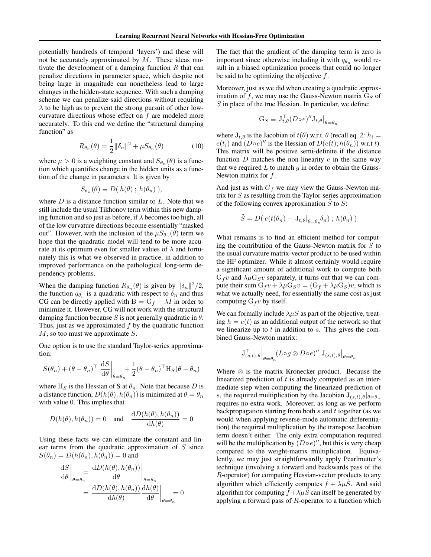potentially hundreds of temporal 'layers') and these will not be accurately approximated by  $M$ . These ideas motivate the development of a damping function  $R$  that can penalize directions in parameter space, which despite not being large in magnitude can nonetheless lead to large changes in the hidden-state sequence. With such a damping scheme we can penalize said directions without requiring  $\lambda$  to be high as to prevent the strong pursuit of other lowcurvature directions whose effect on  $f$  are modeled more accurately. To this end we define the "structural damping function" as

$$
R_{\theta_n}(\theta) = \frac{1}{2} ||\delta_n||^2 + \mu S_{\theta_n}(\theta)
$$
 (10)

where  $\mu > 0$  is a weighting constant and  $S_{\theta_n}(\theta)$  is a function which quantifies change in the hidden units as a function of the change in parameters. It is given by

$$
S_{\theta_n}(\theta) \equiv D(h(\theta); h(\theta_n)),
$$

where  $D$  is a distance function similar to  $L$ . Note that we still include the usual Tikhonov term within this new damping function and so just as before, if  $\lambda$  becomes too high, all of the low curvature directions become essentially "masked out". However, with the inclusion of the  $\mu S_{\theta_n}(\theta)$  term we hope that the quadratic model will tend to be more accurate at its optimum even for smaller values of  $\lambda$  and fortunately this is what we observed in practice, in addition to improved performance on the pathological long-term dependency problems.

When the damping function  $R_{\theta_n}(\theta)$  is given by  $\|\delta_n\|^2/2$ , the function  $q_{\theta_n}$  is a quadratic with respect to  $\delta_n$  and thus CG can be directly applied with  $B = G_f + \lambda I$  in order to minimize it. However, CG will not work with the structural damping function because S is not generally quadratic in  $\theta$ . Thus, just as we approximated  $f$  by the quadratic function  $M$ , so too must we approximate  $S$ .

One option is to use the standard Taylor-series approximation:

$$
S(\theta_n) + (\theta - \theta_n)^\top \left. \frac{\mathrm{d}S}{\mathrm{d}\theta} \right|_{\theta = \theta_n} + \frac{1}{2} (\theta - \theta_n)^\top \mathrm{H}_S(\theta - \theta_n)
$$

where H<sub>S</sub> is the Hessian of S at  $\theta_n$ . Note that because D is a distance function,  $D(h(\theta), h(\theta_n))$  is minimized at  $\theta = \theta_n$ with value 0. This implies that

$$
D(h(\theta), h(\theta_n)) = 0
$$
 and  $\frac{dD(h(\theta), h(\theta_n))}{dh(\theta)} = 0$ 

Using these facts we can eliminate the constant and linear terms from the quadratic approximation of  $S$  since  $S(\theta_n) = D(h(\theta_n), h(\theta_n)) = 0$  and

$$
\frac{\mathrm{d}S}{\mathrm{d}\theta}\Big|_{\theta=\theta_n} = \frac{\mathrm{d}D(h(\theta), h(\theta_n))}{\mathrm{d}\theta}\Big|_{\theta=\theta_n} \n= \frac{\mathrm{d}D(h(\theta), h(\theta_n))}{\mathrm{d}h(\theta)}\frac{\mathrm{d}h(\theta)}{\mathrm{d}\theta}\Big|_{\theta=\theta_n} = 0
$$

The fact that the gradient of the damping term is zero is important since otherwise including it with  $q_{\theta_n}$  would result in a biased optimization process that could no longer be said to be optimizing the objective f.

Moreover, just as we did when creating a quadratic approximation of f, we may use the Gauss-Newton matrix  $G_S$  of  $S$  in place of the true Hessian. In particular, we define:

$$
G_S \equiv J_{t,\theta}^{\top} (D \circ e)'' J_{t,\theta} \big|_{\theta = \theta_n}
$$

where  $J_{t,\theta}$  is the Jacobian of  $t(\theta)$  w.r.t.  $\theta$  (recall eq. 2:  $h_i =$  $e(t_i)$  and  $(D \circ e)''$  is the Hessian of  $D(e(t); h(\theta_n))$  w.r.t t). This matrix will be positive semi-definite if the distance function  $D$  matches the non-linearity  $e$  in the same way that we required  $L$  to match  $g$  in order to obtain the Gauss-Newton matrix for f.

And just as with  $G_f$  we may view the Gauss-Newton matrix for  $S$  as resulting from the Taylor-series approximation of the following convex approximation  $S$  to  $S$ :

$$
\tilde{S} = D(\, e(t(\theta_n) + \mathcal{J}_{t,\theta}|_{\theta = \theta_n} \delta_n) \, ; \, h(\theta_n) \, )
$$

What remains is to find an efficient method for computing the contribution of the Gauss-Newton matrix for  $S$  to the usual curvature matrix-vector product to be used within the HF optimizer. While it almost certainly would require a significant amount of additional work to compute both  $G_f v$  and  $\lambda \mu G_S v$  separately, it turns out that we can compute their sum  $G_f v + \lambda \mu G_S v = (G_f + \lambda \mu G_S)v$ , which is what we actually need, for essentially the same cost as just computing  $G_f v$  by itself.

We can formally include  $\lambda \mu S$  as part of the objective, treating  $h = e(t)$  as an additional output of the network so that we linearize up to  $t$  in addition to  $s$ . This gives the combined Gauss-Newton matrix:

$$
\mathbf{J}_{(s,t),\theta}^{\top}\Big|_{\theta=\theta_n}(L\circ g\otimes D\circ e)''\,\mathbf{J}_{(s,t),\theta}\big|_{\theta=\theta_n}
$$

Where  $\otimes$  is the matrix Kronecker product. Because the linearized prediction of  $t$  is already computed as an intermediate step when computing the linearized prediction of s, the required multiplication by the Jacobian  $J_{(s,t),\theta}|_{\theta=\theta_n}$ requires no extra work. Moreover, as long as we perform backpropagation starting from both s and t together (as we would when applying reverse-mode automatic differentiation) the required multiplication by the transpose Jacobian term doesn't either. The only extra computation required will be the multiplication by  $(D \circ e)''$ , but this is very cheap compared to the weight-matrix multiplication. Equivalently, we may just straightforwardly apply Pearlmutter's technique (involving a forward and backwards pass of the R-operator) for computing Hessian-vector products to any algorithm which efficiently computes  $\tilde{f} + \lambda \mu \tilde{S}$ . And said algorithm for computing  $\tilde{f} + \lambda \mu \tilde{S}$  can itself be generated by applying a forward pass of  $R$ -operator to a function which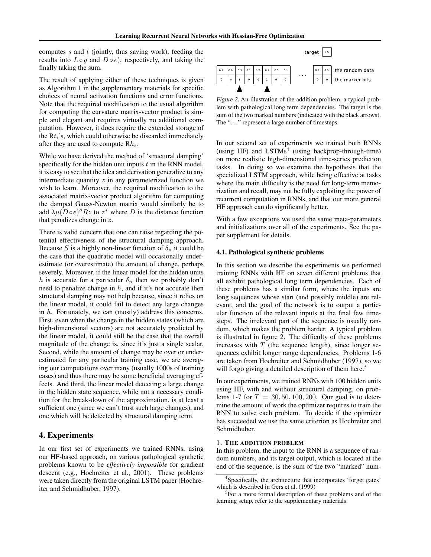computes  $s$  and  $t$  (jointly, thus saving work), feeding the results into  $L \circ g$  and  $D \circ e$ ), respectively, and taking the finally taking the sum.

The result of applying either of these techniques is given as Algorithm 1 in the supplementary materials for specific choices of neural activation functions and error functions. Note that the required modification to the usual algorithm for computing the curvature matrix-vector product is simple and elegant and requires virtually no additional computation. However, it does require the extended storage of the  $Rt_i$ 's, which could otherwise be discarded immediately after they are used to compute  $Rh_i$ .

While we have derived the method of 'structural damping' specifically for the hidden unit inputs  $t$  in the RNN model, it is easy to see that the idea and derivation generalize to any intermediate quantity  $z$  in any parameterized function we wish to learn. Moreover, the required modification to the associated matrix-vector product algorithm for computing the damped Gauss-Newton matrix would similarly be to add  $\lambda \mu (D \circ e)'' R z$  to  $z^*$  where D is the distance function that penalizes change in z.

There is valid concern that one can raise regarding the potential effectiveness of the structural damping approach. Because S is a highly non-linear function of  $\delta_n$  it could be the case that the quadratic model will occasionally underestimate (or overestimate) the amount of change, perhaps severely. Moreover, if the linear model for the hidden units h is accurate for a particular  $\delta_n$  then we probably don't need to penalize change in  $h$ , and if it's not accurate then structural damping may not help because, since it relies on the linear model, it could fail to detect any large changes in h. Fortunately, we can (mostly) address this concerns. First, even when the change in the hidden states (which are high-dimensional vectors) are not accurately predicted by the linear model, it could still be the case that the overall magnitude of the change is, since it's just a single scalar. Second, while the amount of change may be over or underestimated for any particular training case, we are averaging our computations over many (usually 1000s of training cases) and thus there may be some beneficial averaging effects. And third, the linear model detecting a large change in the hidden state sequence, while not a necessary condition for the break-down of the approximation, is at least a sufficient one (since we can't trust such large changes), and one which will be detected by structural damping term.

## 4. Experiments

In our first set of experiments we trained RNNs, using our HF-based approach, on various pathological synthetic problems known to be *effectively impossible* for gradient descent (e.g., Hochreiter et al., 2001). These problems were taken directly from the original LSTM paper (Hochreiter and Schmidhuber, 1997).



Figure 2. An illustration of the addition problem, a typical problem with pathological long term dependencies. The target is the sum of the two marked numbers (indicated with the black arrows). The ". . ." represent a large number of timesteps.

In our second set of experiments we trained both RNNs (using HF) and  $LSTMs<sup>4</sup>$  (using backprop-through-time) on more realistic high-dimensional time-series prediction tasks. In doing so we examine the hypothesis that the specialized LSTM approach, while being effective at tasks where the main difficulty is the need for long-term memorization and recall, may not be fully exploiting the power of recurrent computation in RNNs, and that our more general HF approach can do significantly better.

With a few exceptions we used the same meta-parameters and initializations over all of the experiments. See the paper supplement for details.

### 4.1. Pathological synthetic problems

In this section we describe the experiments we performed training RNNs with HF on seven different problems that all exhibit pathological long term dependencies. Each of these problems has a similar form, where the inputs are long sequences whose start (and possibly middle) are relevant, and the goal of the network is to output a particular function of the relevant inputs at the final few timesteps. The irrelevant part of the sequence is usually random, which makes the problem harder. A typical problem is illustrated in figure 2. The difficulty of these problems increases with  $T$  (the sequence length), since longer sequences exhibit longer range dependencies. Problems 1-6 are taken from Hochreiter and Schmidhuber (1997), so we will forgo giving a detailed description of them here.<sup>5</sup>

In our experiments, we trained RNNs with 100 hidden units using HF, with and without structural damping, on problems 1-7 for  $T = 30, 50, 100, 200$ . Our goal is to determine the amount of work the optimizer requires to train the RNN to solve each problem. To decide if the optimizer has succeeded we use the same criterion as Hochreiter and Schmidhuber.

### 1. THE ADDITION PROBLEM

In this problem, the input to the RNN is a sequence of random numbers, and its target output, which is located at the end of the sequence, is the sum of the two "marked" num-

<sup>4</sup> Specifically, the architecture that incorporates 'forget gates' which is described in Gers et al. (1999)

<sup>&</sup>lt;sup>5</sup>For a more formal description of these problems and of the learning setup, refer to the supplementary materials.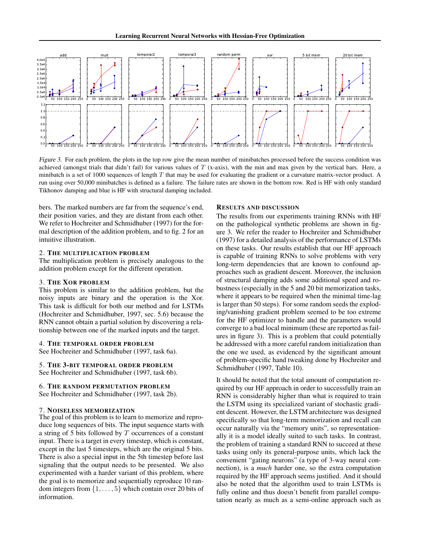

Figure 3. For each problem, the plots in the top row give the mean number of minibatches processed before the success condition was achieved (amongst trials that didn't fail) for various values of  $T$  (x-axis), with the min and max given by the vertical bars. Here, a minibatch is a set of 1000 sequences of length T that may be used for evaluating the gradient or a curvature matrix-vector product. A run using over 50,000 minibatches is defined as a failure. The failure rates are shown in the bottom row. Red is HF with only standard Tikhonov damping and blue is HF with structural damping included.

bers. The marked numbers are far from the sequence's end, their position varies, and they are distant from each other. We refer to Hochreiter and Schmidhuber (1997) for the formal description of the addition problem, and to fig. 2 for an intuitive illustration.

### 2. THE MULTIPLICATION PROBLEM

The multiplication problem is precisely analogous to the addition problem except for the different operation.

## 3. THE XOR PROBLEM

This problem is similar to the addition problem, but the noisy inputs are binary and the operation is the Xor. This task is difficult for both our method and for LSTMs (Hochreiter and Schmidhuber, 1997, sec. 5.6) because the RNN cannot obtain a partial solution by discovering a relationship between one of the marked inputs and the target.

### 4. THE TEMPORAL ORDER PROBLEM

See Hochreiter and Schmidhuber (1997, task 6a).

5. THE 3-BIT TEMPORAL ORDER PROBLEM See Hochreiter and Schmidhuber (1997, task 6b).

# 6. THE RANDOM PERMUTATION PROBLEM

See Hochreiter and Schmidhuber (1997, task 2b).

### 7. NOISELESS MEMORIZATION

The goal of this problem is to learn to memorize and reproduce long sequences of bits. The input sequence starts with a string of 5 bits followed by  $T$  occurrences of a constant input. There is a target in every timestep, which is constant, except in the last 5 timesteps, which are the original 5 bits. There is also a special input in the 5th timestep before last signaling that the output needs to be presented. We also experimented with a harder variant of this problem, where the goal is to memorize and sequentially reproduce 10 random integers from  $\{1, \ldots, 5\}$  which contain over 20 bits of information.

### RESULTS AND DISCUSSION

The results from our experiments training RNNs with HF on the pathological synthetic problems are shown in figure 3. We refer the reader to Hochreiter and Schmidhuber (1997) for a detailed analysis of the performance of LSTMs on these tasks. Our results establish that our HF approach is capable of training RNNs to solve problems with very long-term dependencies that are known to confound approaches such as gradient descent. Moreover, the inclusion of structural damping adds some additional speed and robustness (especially in the 5 and 20 bit memorization tasks, where it appears to be required when the minimal time-lag is larger than 50 steps). For some random seeds the exploding/vanishing gradient problem seemed to be too extreme for the HF optimizer to handle and the parameters would converge to a bad local minimum (these are reported as failures in figure 3). This is a problem that could potentially be addressed with a more careful random initialization than the one we used, as evidenced by the significant amount of problem-specific hand tweaking done by Hochreiter and Schmidhuber (1997, Table 10).

It should be noted that the total amount of computation required by our HF approach in order to successfully train an RNN is considerably higher than what is required to train the LSTM using its specialized variant of stochastic gradient descent. However, the LSTM architecture was designed specifically so that long-term memorization and recall can occur naturally via the "memory units", so representationally it is a model ideally suited to such tasks. In contrast, the problem of training a standard RNN to succeed at these tasks using only its general-purpose units, which lack the convenient "gating neurons" (a type of 3-way neural connection), is a *much* harder one, so the extra computation required by the HF approach seems justified. And it should also be noted that the algorithm used to train LSTMs is fully online and thus doesn't benefit from parallel computation nearly as much as a semi-online approach such as